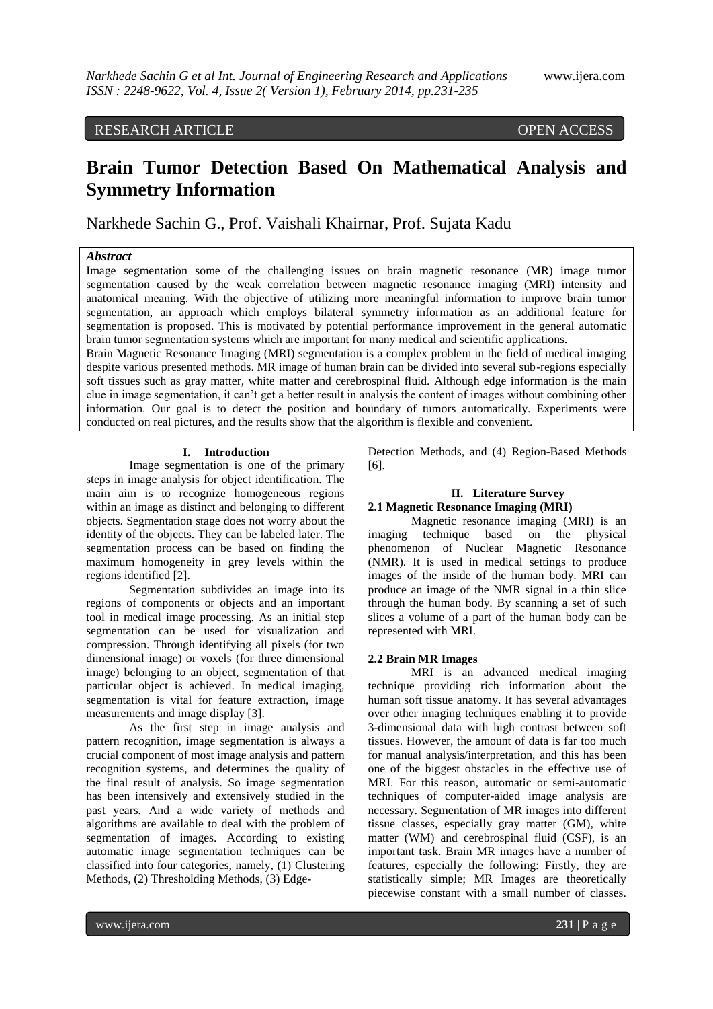# RESEARCH ARTICLE OPEN ACCESS

# **Brain Tumor Detection Based On Mathematical Analysis and Symmetry Information**

Narkhede Sachin G., Prof. Vaishali Khairnar, Prof. Sujata Kadu

# *Abstract*

Image segmentation some of the challenging issues on brain magnetic resonance (MR) image tumor segmentation caused by the weak correlation between magnetic resonance imaging (MRI) intensity and anatomical meaning. With the objective of utilizing more meaningful information to improve brain tumor segmentation, an approach which employs bilateral symmetry information as an additional feature for segmentation is proposed. This is motivated by potential performance improvement in the general automatic brain tumor segmentation systems which are important for many medical and scientific applications.

Brain Magnetic Resonance Imaging (MRI) segmentation is a complex problem in the field of medical imaging despite various presented methods. MR image of human brain can be divided into several sub-regions especially soft tissues such as gray matter, white matter and cerebrospinal fluid. Although edge information is the main clue in image segmentation, it can't get a better result in analysis the content of images without combining other information. Our goal is to detect the position and boundary of tumors automatically. Experiments were conducted on real pictures, and the results show that the algorithm is flexible and convenient.

#### **I. Introduction**

Image segmentation is one of the primary steps in image analysis for object identification. The main aim is to recognize homogeneous regions within an image as distinct and belonging to different objects. Segmentation stage does not worry about the identity of the objects. They can be labeled later. The segmentation process can be based on finding the maximum homogeneity in grey levels within the regions identified [2].

Segmentation subdivides an image into its regions of components or objects and an important tool in medical image processing. As an initial step segmentation can be used for visualization and compression. Through identifying all pixels (for two dimensional image) or voxels (for three dimensional image) belonging to an object, segmentation of that particular object is achieved. In medical imaging, segmentation is vital for feature extraction, image measurements and image display [3].

As the first step in image analysis and pattern recognition, image segmentation is always a crucial component of most image analysis and pattern recognition systems, and determines the quality of the final result of analysis. So image segmentation has been intensively and extensively studied in the past years. And a wide variety of methods and algorithms are available to deal with the problem of segmentation of images. According to existing automatic image segmentation techniques can be classified into four categories, namely, (1) Clustering Methods, (2) Thresholding Methods, (3) EdgeDetection Methods, and (4) Region-Based Methods [6].

#### **II. Literature Survey**

## **2.1 Magnetic Resonance Imaging (MRI)**

Magnetic resonance imaging (MRI) is an imaging technique based on the physical phenomenon of Nuclear Magnetic Resonance (NMR). It is used in medical settings to produce images of the inside of the human body. MRI can produce an image of the NMR signal in a thin slice through the human body. By scanning a set of such slices a volume of a part of the human body can be represented with MRI.

#### **2.2 Brain MR Images**

MRI is an advanced medical imaging technique providing rich information about the human soft tissue anatomy. It has several advantages over other imaging techniques enabling it to provide 3-dimensional data with high contrast between soft tissues. However, the amount of data is far too much for manual analysis/interpretation, and this has been one of the biggest obstacles in the effective use of MRI. For this reason, automatic or semi-automatic techniques of computer-aided image analysis are necessary. Segmentation of MR images into different tissue classes, especially gray matter (GM), white matter (WM) and cerebrospinal fluid (CSF), is an important task. Brain MR images have a number of features, especially the following: Firstly, they are statistically simple; MR Images are theoretically piecewise constant with a small number of classes.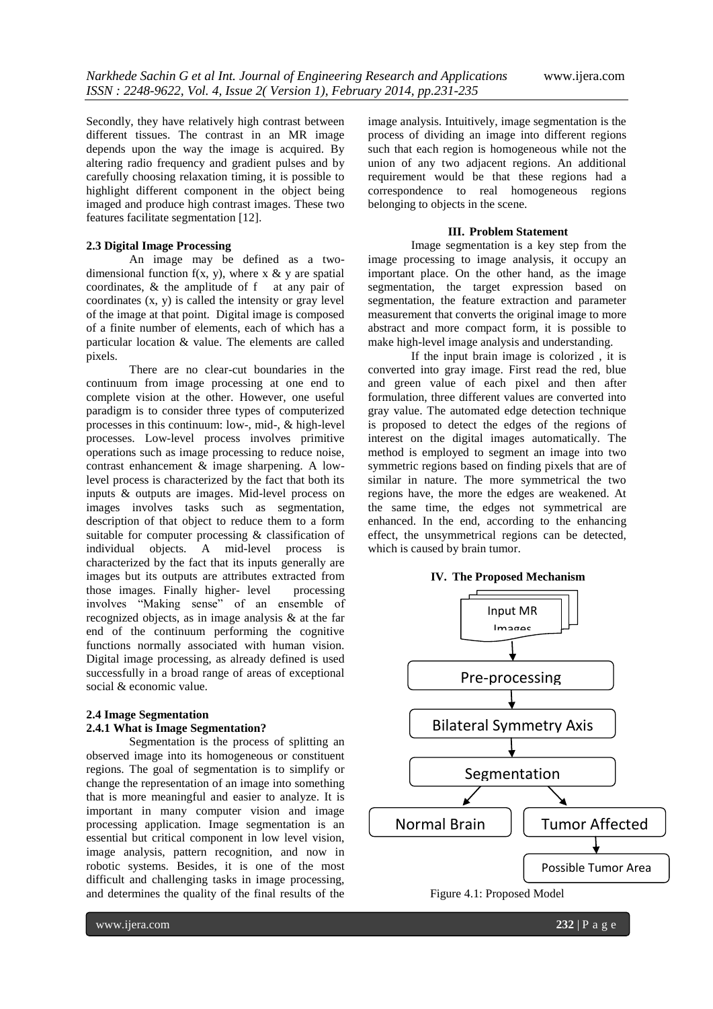Secondly, they have relatively high contrast between different tissues. The contrast in an MR image depends upon the way the image is acquired. By altering radio frequency and gradient pulses and by carefully choosing relaxation timing, it is possible to highlight different component in the object being imaged and produce high contrast images. These two features facilitate segmentation [12].

#### **2.3 Digital Image Processing**

An image may be defined as a twodimensional function  $f(x, y)$ , where x & y are spatial coordinates, & the amplitude of f at any pair of coordinates (x, y) is called the intensity or gray level of the image at that point. Digital image is composed of a finite number of elements, each of which has a particular location & value. The elements are called pixels.

There are no clear-cut boundaries in the continuum from image processing at one end to complete vision at the other. However, one useful paradigm is to consider three types of computerized processes in this continuum: low-, mid-, & high-level processes. Low-level process involves primitive operations such as image processing to reduce noise, contrast enhancement & image sharpening. A lowlevel process is characterized by the fact that both its inputs & outputs are images. Mid-level process on images involves tasks such as segmentation, description of that object to reduce them to a form suitable for computer processing & classification of individual objects. A mid-level process is characterized by the fact that its inputs generally are images but its outputs are attributes extracted from those images. Finally higher- level processing involves "Making sense" of an ensemble of recognized objects, as in image analysis & at the far end of the continuum performing the cognitive functions normally associated with human vision. Digital image processing, as already defined is used successfully in a broad range of areas of exceptional social & economic value.

#### **2.4 Image Segmentation 2.4.1 What is Image Segmentation?**

Segmentation is the process of splitting an observed image into its homogeneous or constituent regions. The goal of segmentation is to simplify or change the representation of an image into something that is more meaningful and easier to analyze. It is important in many computer vision and image processing application. Image segmentation is an essential but critical component in low level vision, image analysis, pattern recognition, and now in robotic systems. Besides, it is one of the most difficult and challenging tasks in image processing, and determines the quality of the final results of the

image analysis. Intuitively, image segmentation is the process of dividing an image into different regions such that each region is homogeneous while not the union of any two adjacent regions. An additional requirement would be that these regions had a correspondence to real homogeneous regions belonging to objects in the scene.

#### **III. Problem Statement**

Image segmentation is a key step from the image processing to image analysis, it occupy an important place. On the other hand, as the image segmentation, the target expression based on segmentation, the feature extraction and parameter measurement that converts the original image to more abstract and more compact form, it is possible to make high-level image analysis and understanding.

If the input brain image is colorized , it is converted into gray image. First read the red, blue and green value of each pixel and then after formulation, three different values are converted into gray value. The automated edge detection technique is proposed to detect the edges of the regions of interest on the digital images automatically. The method is employed to segment an image into two symmetric regions based on finding pixels that are of similar in nature. The more symmetrical the two regions have, the more the edges are weakened. At the same time, the edges not symmetrical are enhanced. In the end, according to the enhancing effect, the unsymmetrical regions can be detected, which is caused by brain tumor.

#### **IV. The Proposed Mechanism**



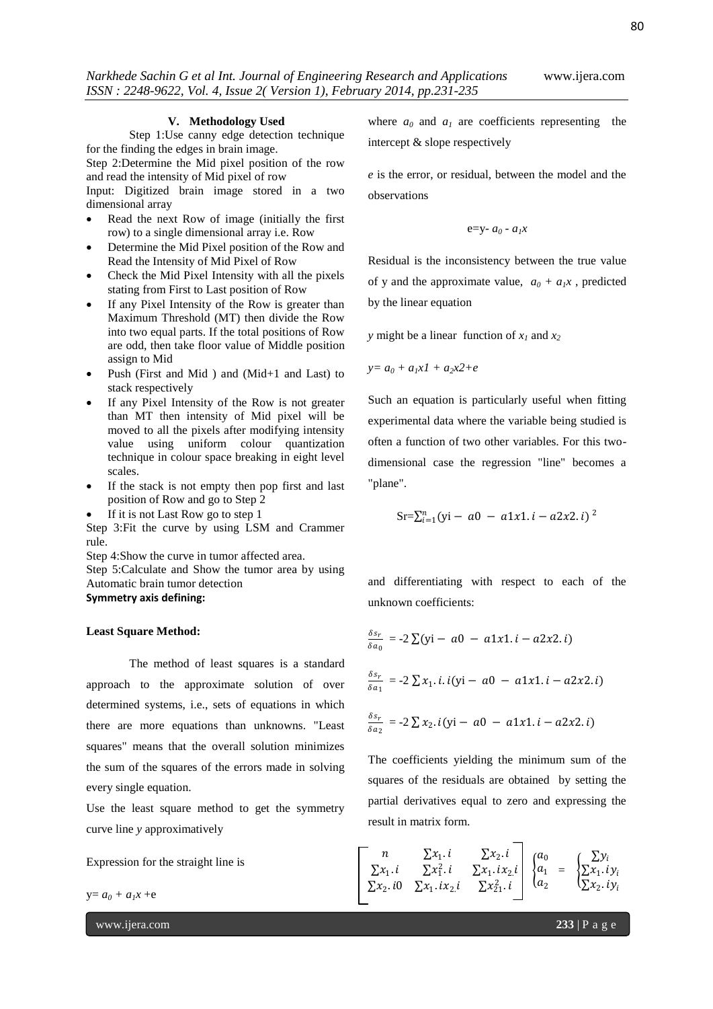#### **V. Methodology Used**

Step 1:Use canny edge detection technique for the finding the edges in brain image.

Step 2:Determine the Mid pixel position of the row and read the intensity of Mid pixel of row

Input: Digitized brain image stored in a two dimensional array

- Read the next Row of image (initially the first row) to a single dimensional array i.e. Row
- Determine the Mid Pixel position of the Row and Read the Intensity of Mid Pixel of Row
- Check the Mid Pixel Intensity with all the pixels stating from First to Last position of Row
- If any Pixel Intensity of the Row is greater than Maximum Threshold (MT) then divide the Row into two equal parts. If the total positions of Row are odd, then take floor value of Middle position assign to Mid
- Push (First and Mid ) and (Mid+1 and Last) to stack respectively
- If any Pixel Intensity of the Row is not greater than MT then intensity of Mid pixel will be moved to all the pixels after modifying intensity value using uniform colour quantization technique in colour space breaking in eight level scales.
- If the stack is not empty then pop first and last position of Row and go to Step 2
- If it is not Last Row go to step 1

Step 3:Fit the curve by using LSM and Crammer rule.

Step 4:Show the curve in tumor affected area.

Step 5:Calculate and Show the tumor area by using Automatic brain tumor detection **Symmetry axis defining:**

#### **Least Square Method:**

The method of least squares is a standard approach to the approximate solution of over determined systems, i.e., sets of equations in which there are more equations than unknowns. "Least squares" means that the overall solution minimizes the sum of the squares of the errors made in solving every single equation.

Use the least square method to get the symmetry curve line *y* approximatively

Expression for the straight line is

 $y = a_0 + a_1x + e$ 

www.ijera.com **233** | P a g e

where  $a_0$  and  $a_1$  are coefficients representing the intercept & slope respectively

*e* is the error, or residual, between the model and the observations

$$
e=y-a_0 - a_1x
$$

Residual is the inconsistency between the true value of y and the approximate value,  $a_0 + a_1x$ , predicted by the linear equation

*y* might be a linear function of  $x_1$  and  $x_2$ 

$$
y=a_0+a_1x_1+a_2x_2+e
$$

Such an equation is particularly useful when fitting experimental data where the variable being studied is often a function of two other variables. For this twodimensional case the regression "line" becomes a "plane".

$$
Sr = \sum_{i=1}^{n} (yi - a0 - a1x1.i - a2x2.i)^{2}
$$

and differentiating with respect to each of the unknown coefficients:

$$
\frac{\delta s_r}{\delta a_0} = -2 \sum (yi - a0 - a1x1 \cdot i - a2x2 \cdot i)
$$
  

$$
\frac{\delta s_r}{\delta a_1} = -2 \sum x_1 \cdot i \cdot i (yi - a0 - a1x1 \cdot i - a2x2 \cdot i)
$$
  

$$
\frac{\delta s_r}{\delta a_2} = -2 \sum x_2 \cdot i (yi - a0 - a1x1 \cdot i - a2x2 \cdot i)
$$

The coefficients yielding the minimum sum of the squares of the residuals are obtained by setting the partial derivatives equal to zero and expressing the result in matrix form.

$$
\begin{bmatrix} n & \sum x_1 \cdot i & \sum x_2 \cdot i \\ \sum x_1 \cdot i & \sum x_1^2 \cdot i & \sum x_1 \cdot i x_2 \cdot i \\ \sum x_2 \cdot i0 & \sum x_1 \cdot i x_2 \cdot i & \sum x_2^2 \cdot i \end{bmatrix} \begin{Bmatrix} a_0 \\ a_1 \\ a_2 \end{Bmatrix} = \begin{Bmatrix} \sum y_i \\ \sum x_1 \cdot i y_i \\ \sum x_2 \cdot i y_i \end{Bmatrix}
$$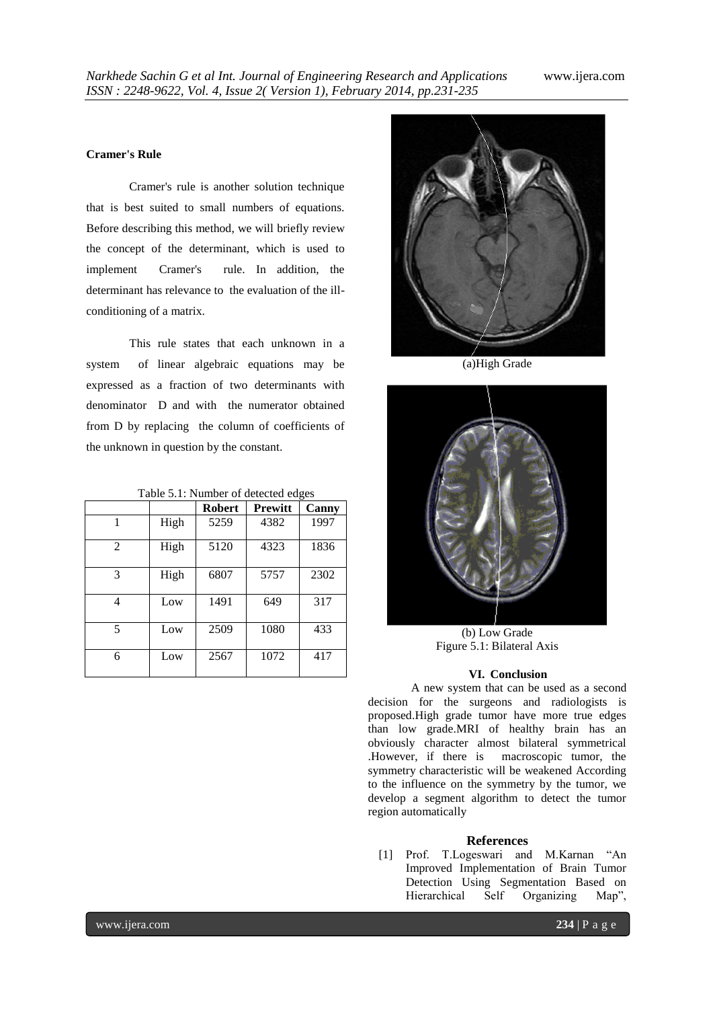### **Cramer's Rule**

Cramer's rule is another solution technique that is best suited to small numbers of equations. Before describing this method, we will briefly review the concept of the determinant, which is used to implement Cramer's rule. In addition, the determinant has relevance to the evaluation of the illconditioning of a matrix.

This rule states that each unknown in a system of linear algebraic equations may be expressed as a fraction of two determinants with denominator D and with the numerator obtained from D by replacing the column of coefficients of the unknown in question by the constant.

|  |  | Table 5.1: Number of detected edges |  |
|--|--|-------------------------------------|--|
|--|--|-------------------------------------|--|

|                |      | <b>Robert</b> | <b>Prewitt</b> | Canny |
|----------------|------|---------------|----------------|-------|
|                | High | 5259          | 4382           | 1997  |
| $\mathfrak{D}$ | High | 5120          | 4323           | 1836  |
| 3              | High | 6807          | 5757           | 2302  |
| 4              | Low  | 1491          | 649            | 317   |
| 5              | Low  | 2509          | 1080           | 433   |
| 6              | Low  | 2567          | 1072           | 417   |



(a)High Grade



(b) Low Grade Figure 5.1: Bilateral Axis

#### **VI. Conclusion**

A new system that can be used as a second decision for the surgeons and radiologists is proposed.High grade tumor have more true edges than low grade.MRI of healthy brain has an obviously character almost bilateral symmetrical .However, if there is macroscopic tumor, the symmetry characteristic will be weakened According to the influence on the symmetry by the tumor, we develop a segment algorithm to detect the tumor region automatically

#### **References**

[1] Prof. T.Logeswari and M.Karnan "An Improved Implementation of Brain Tumor Detection Using Segmentation Based on Hierarchical Self Organizing Map",